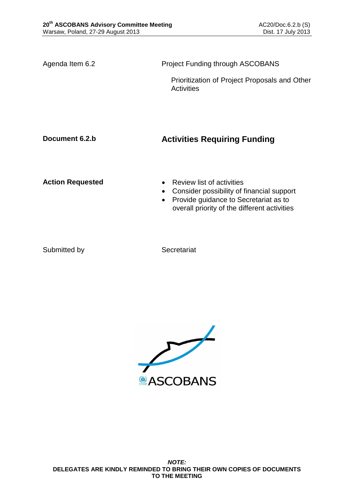Agenda Item 6.2 **Project Funding through ASCOBANS** Prioritization of Project Proposals and Other **Activities Document 6.2.b Activities Requiring Funding Action Requested • Review list of activities**  Consider possibility of financial support • Provide guidance to Secretariat as to overall priority of the different activities

Submitted by Secretariat

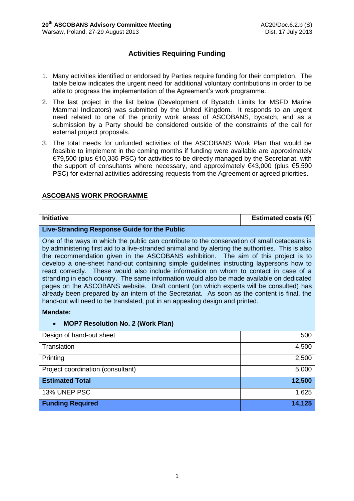# **Activities Requiring Funding**

- 1. Many activities identified or endorsed by Parties require funding for their completion. The table below indicates the urgent need for additional voluntary contributions in order to be able to progress the implementation of the Agreement's work programme.
- 2. The last project in the list below (Development of Bycatch Limits for MSFD Marine Mammal Indicators) was submitted by the United Kingdom. It responds to an urgent need related to one of the priority work areas of ASCOBANS, bycatch, and as a submission by a Party should be considered outside of the constraints of the call for external project proposals.
- 3. The total needs for unfunded activities of the ASCOBANS Work Plan that would be feasible to implement in the coming months if funding were available are approximately €79,500 (plus €10,335 PSC) for activities to be directly managed by the Secretariat, with the support of consultants where necessary, and approximately €43,000 (plus €5,590 PSC) for external activities addressing requests from the Agreement or agreed priorities.

# **ASCOBANS WORK PROGRAMME**

| <b>Initiative</b>                                                                                                                                                                                                                                                                                                                                                                                                                                                                                                                                                                                                                                                                                                                                                                                                                                 | Estimated costs $(\epsilon)$ |
|---------------------------------------------------------------------------------------------------------------------------------------------------------------------------------------------------------------------------------------------------------------------------------------------------------------------------------------------------------------------------------------------------------------------------------------------------------------------------------------------------------------------------------------------------------------------------------------------------------------------------------------------------------------------------------------------------------------------------------------------------------------------------------------------------------------------------------------------------|------------------------------|
| Live-Stranding Response Guide for the Public                                                                                                                                                                                                                                                                                                                                                                                                                                                                                                                                                                                                                                                                                                                                                                                                      |                              |
| One of the ways in which the public can contribute to the conservation of small cetaceans is<br>by administering first aid to a live-stranded animal and by alerting the authorities. This is also<br>the recommendation given in the ASCOBANS exhibition. The aim of this project is to<br>develop a one-sheet hand-out containing simple guidelines instructing laypersons how to<br>react correctly. These would also include information on whom to contact in case of a<br>stranding in each country. The same information would also be made available on dedicated<br>pages on the ASCOBANS website. Draft content (on which experts will be consulted) has<br>already been prepared by an intern of the Secretariat. As soon as the content is final, the<br>hand-out will need to be translated, put in an appealing design and printed. |                              |
| <b>Mandate:</b>                                                                                                                                                                                                                                                                                                                                                                                                                                                                                                                                                                                                                                                                                                                                                                                                                                   |                              |
| <b>MOP7 Resolution No. 2 (Work Plan)</b><br>$\bullet$                                                                                                                                                                                                                                                                                                                                                                                                                                                                                                                                                                                                                                                                                                                                                                                             |                              |
| Design of hand-out sheet                                                                                                                                                                                                                                                                                                                                                                                                                                                                                                                                                                                                                                                                                                                                                                                                                          | 500                          |
| Translation                                                                                                                                                                                                                                                                                                                                                                                                                                                                                                                                                                                                                                                                                                                                                                                                                                       | 4,500                        |
| Printing                                                                                                                                                                                                                                                                                                                                                                                                                                                                                                                                                                                                                                                                                                                                                                                                                                          | 2,500                        |
| Project coordination (consultant)                                                                                                                                                                                                                                                                                                                                                                                                                                                                                                                                                                                                                                                                                                                                                                                                                 | 5,000                        |
| <b>Estimated Total</b>                                                                                                                                                                                                                                                                                                                                                                                                                                                                                                                                                                                                                                                                                                                                                                                                                            | 12,500                       |
| 13% UNEP PSC                                                                                                                                                                                                                                                                                                                                                                                                                                                                                                                                                                                                                                                                                                                                                                                                                                      | 1,625                        |
| <b>Funding Required</b>                                                                                                                                                                                                                                                                                                                                                                                                                                                                                                                                                                                                                                                                                                                                                                                                                           | 14,125                       |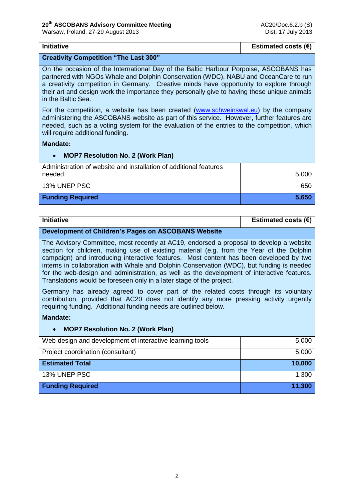**Initiative Estimated costs (€)**

### **Creativity Competition "The Last 300"**

On the occasion of the International Day of the Baltic Harbour Porpoise, ASCOBANS has partnered with NGOs Whale and Dolphin Conservation (WDC), NABU and OceanCare to run a creativity competition in Germany. Creative minds have opportunity to explore through their art and design work the importance they personally give to having these unique animals in the Baltic Sea.

For the competition, a website has been created [\(www.schweinswal.eu\)](http://www.schweinswal.eu/) by the company administering the ASCOBANS website as part of this service. However, further features are needed, such as a voting system for the evaluation of the entries to the competition, which will require additional funding.

### **Mandate:**

## **MOP7 Resolution No. 2 (Work Plan)**

| <b>Funding Required</b>                                                     | 5.650 |
|-----------------------------------------------------------------------------|-------|
| 13% UNEP PSC                                                                | 650   |
| Administration of website and installation of additional features<br>needed | 5.000 |

| <b>Initiative</b>                                                                                                                                                                                                                                                                                                                                                                                                                                                                                                                                | Estimated costs $(\epsilon)$ |
|--------------------------------------------------------------------------------------------------------------------------------------------------------------------------------------------------------------------------------------------------------------------------------------------------------------------------------------------------------------------------------------------------------------------------------------------------------------------------------------------------------------------------------------------------|------------------------------|
| <b>Development of Children's Pages on ASCOBANS Website</b>                                                                                                                                                                                                                                                                                                                                                                                                                                                                                       |                              |
| The Advisory Committee, most recently at AC19, endorsed a proposal to develop a website<br>section for children, making use of existing material (e.g. from the Year of the Dolphin<br>campaign) and introducing interactive features. Most content has been developed by two<br>interns in collaboration with Whale and Dolphin Conservation (WDC), but funding is needed<br>for the web-design and administration, as well as the development of interactive features.<br>Translations would be foreseen only in a later stage of the project. |                              |
| Germany has already agreed to cover part of the related costs through its voluntary<br>contribution, provided that AC20 does not identify any more pressing activity urgently<br>requiring funding. Additional funding needs are outlined below.                                                                                                                                                                                                                                                                                                 |                              |
| <b>Mandate:</b>                                                                                                                                                                                                                                                                                                                                                                                                                                                                                                                                  |                              |
| <b>MOP7 Resolution No. 2 (Work Plan)</b><br>$\bullet$                                                                                                                                                                                                                                                                                                                                                                                                                                                                                            |                              |
| Web-design and development of interactive learning tools                                                                                                                                                                                                                                                                                                                                                                                                                                                                                         | 5,000                        |
| Project coordination (consultant)                                                                                                                                                                                                                                                                                                                                                                                                                                                                                                                | 5,000                        |
| <b>Estimated Total</b>                                                                                                                                                                                                                                                                                                                                                                                                                                                                                                                           | 10,000                       |
| 13% UNEP PSC                                                                                                                                                                                                                                                                                                                                                                                                                                                                                                                                     | 1,300                        |
| <b>Funding Required</b>                                                                                                                                                                                                                                                                                                                                                                                                                                                                                                                          | 11,300                       |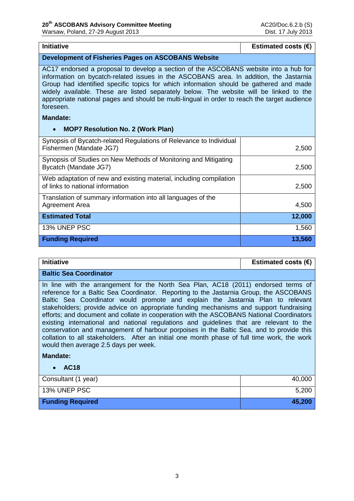| <b>Initiative</b>                                                                                                                                                                                                                                                                                                                                                                                                                                                               | Estimated costs $(\epsilon)$ |
|---------------------------------------------------------------------------------------------------------------------------------------------------------------------------------------------------------------------------------------------------------------------------------------------------------------------------------------------------------------------------------------------------------------------------------------------------------------------------------|------------------------------|
| <b>Development of Fisheries Pages on ASCOBANS Website</b>                                                                                                                                                                                                                                                                                                                                                                                                                       |                              |
| AC17 endorsed a proposal to develop a section of the ASCOBANS website into a hub for<br>information on bycatch-related issues in the ASCOBANS area. In addition, the Jastarnia<br>Group had identified specific topics for which information should be gathered and made<br>widely available. These are listed separately below. The website will be linked to the<br>appropriate national pages and should be multi-lingual in order to reach the target audience<br>foreseen. |                              |
| <b>Mandate:</b>                                                                                                                                                                                                                                                                                                                                                                                                                                                                 |                              |
| <b>MOP7 Resolution No. 2 (Work Plan)</b><br>$\bullet$                                                                                                                                                                                                                                                                                                                                                                                                                           |                              |
| Synopsis of Bycatch-related Regulations of Relevance to Individual<br>Fishermen (Mandate JG7)                                                                                                                                                                                                                                                                                                                                                                                   | 2,500                        |
| Synopsis of Studies on New Methods of Monitoring and Mitigating<br>Bycatch (Mandate JG7)                                                                                                                                                                                                                                                                                                                                                                                        | 2,500                        |
| Web adaptation of new and existing material, including compilation<br>of links to national information                                                                                                                                                                                                                                                                                                                                                                          | 2,500                        |
| Translation of summary information into all languages of the<br><b>Agreement Area</b>                                                                                                                                                                                                                                                                                                                                                                                           | 4,500                        |
| <b>Estimated Total</b>                                                                                                                                                                                                                                                                                                                                                                                                                                                          | 12,000                       |
| 13% UNEP PSC                                                                                                                                                                                                                                                                                                                                                                                                                                                                    | 1,560                        |
| <b>Funding Required</b>                                                                                                                                                                                                                                                                                                                                                                                                                                                         | 13,560                       |

| <b>Initiative</b>                                                                                                                                                                                                                                                                                                                                                                                                                                                                                                                                                                                                                                                                                                                                                                   | Estimated costs $(\epsilon)$ |
|-------------------------------------------------------------------------------------------------------------------------------------------------------------------------------------------------------------------------------------------------------------------------------------------------------------------------------------------------------------------------------------------------------------------------------------------------------------------------------------------------------------------------------------------------------------------------------------------------------------------------------------------------------------------------------------------------------------------------------------------------------------------------------------|------------------------------|
| <b>Baltic Sea Coordinator</b>                                                                                                                                                                                                                                                                                                                                                                                                                                                                                                                                                                                                                                                                                                                                                       |                              |
| In line with the arrangement for the North Sea Plan, AC18 (2011) endorsed terms of<br>reference for a Baltic Sea Coordinator. Reporting to the Jastarnia Group, the ASCOBANS<br>Baltic Sea Coordinator would promote and explain the Jastarnia Plan to relevant<br>stakeholders; provide advice on appropriate funding mechanisms and support fundraising<br>efforts; and document and collate in cooperation with the ASCOBANS National Coordinators<br>existing international and national regulations and guidelines that are relevant to the<br>conservation and management of harbour porpoises in the Baltic Sea, and to provide this<br>collation to all stakeholders. After an initial one month phase of full time work, the work<br>would then average 2.5 days per week. |                              |
| <b>Mandate:</b>                                                                                                                                                                                                                                                                                                                                                                                                                                                                                                                                                                                                                                                                                                                                                                     |                              |
| <b>AC18</b>                                                                                                                                                                                                                                                                                                                                                                                                                                                                                                                                                                                                                                                                                                                                                                         |                              |
| Consultant (1 year)                                                                                                                                                                                                                                                                                                                                                                                                                                                                                                                                                                                                                                                                                                                                                                 | 40,000                       |
| 13% UNEP PSC                                                                                                                                                                                                                                                                                                                                                                                                                                                                                                                                                                                                                                                                                                                                                                        | 5,200                        |
| <b>Funding Required</b>                                                                                                                                                                                                                                                                                                                                                                                                                                                                                                                                                                                                                                                                                                                                                             | 45,200                       |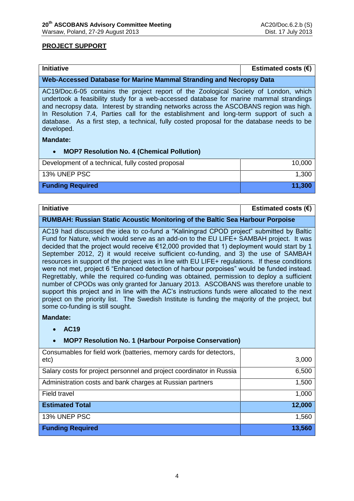# **PROJECT SUPPORT**

| <b>Initiative</b>                                                                                                                                                                                                                                                                                                                                                                                                                                                                                                                                     | Estimated costs $(\epsilon)$ |
|-------------------------------------------------------------------------------------------------------------------------------------------------------------------------------------------------------------------------------------------------------------------------------------------------------------------------------------------------------------------------------------------------------------------------------------------------------------------------------------------------------------------------------------------------------|------------------------------|
| Web-Accessed Database for Marine Mammal Stranding and Necropsy Data                                                                                                                                                                                                                                                                                                                                                                                                                                                                                   |                              |
| AC19/Doc.6-05 contains the project report of the Zoological Society of London, which<br>undertook a feasibility study for a web-accessed database for marine mammal strandings<br>and necropsy data. Interest by stranding networks across the ASCOBANS region was high.<br>In Resolution 7.4, Parties call for the establishment and long-term support of such a<br>database. As a first step, a technical, fully costed proposal for the database needs to be<br>developed.<br><b>Mandate:</b><br><b>MOP7 Resolution No. 4 (Chemical Pollution)</b> |                              |
| Development of a technical, fully costed proposal                                                                                                                                                                                                                                                                                                                                                                                                                                                                                                     | 10,000                       |
| 13% UNEP PSC                                                                                                                                                                                                                                                                                                                                                                                                                                                                                                                                          | 1,300                        |
| <b>Funding Required</b>                                                                                                                                                                                                                                                                                                                                                                                                                                                                                                                               | 11,300                       |

| <b>Initiative</b>                                                                                                                                                                                                                                                                                                                                                                                                                                                                                                                                                                                                                                                                                                                                                                                                                                                                                                                                                                                   | Estimated costs $(\epsilon)$ |
|-----------------------------------------------------------------------------------------------------------------------------------------------------------------------------------------------------------------------------------------------------------------------------------------------------------------------------------------------------------------------------------------------------------------------------------------------------------------------------------------------------------------------------------------------------------------------------------------------------------------------------------------------------------------------------------------------------------------------------------------------------------------------------------------------------------------------------------------------------------------------------------------------------------------------------------------------------------------------------------------------------|------------------------------|
| <b>RUMBAH: Russian Static Acoustic Monitoring of the Baltic Sea Harbour Porpoise</b>                                                                                                                                                                                                                                                                                                                                                                                                                                                                                                                                                                                                                                                                                                                                                                                                                                                                                                                |                              |
| AC19 had discussed the idea to co-fund a "Kaliningrad CPOD project" submitted by Baltic<br>Fund for Nature, which would serve as an add-on to the EU LIFE+ SAMBAH project. It was<br>decided that the project would receive €12,000 provided that 1) deployment would start by 1<br>September 2012, 2) it would receive sufficient co-funding, and 3) the use of SAMBAH<br>resources in support of the project was in line with EU LIFE+ regulations. If these conditions<br>were not met, project 6 "Enhanced detection of harbour porpoises" would be funded instead.<br>Regrettably, while the required co-funding was obtained, permission to deploy a sufficient<br>number of CPODs was only granted for January 2013. ASCOBANS was therefore unable to<br>support this project and in line with the AC's instructions funds were allocated to the next<br>project on the priority list. The Swedish Institute is funding the majority of the project, but<br>some co-funding is still sought. |                              |

**Mandate:**

**AC19**

# **MOP7 Resolution No. 1 (Harbour Porpoise Conservation)**

| Consumables for field work (batteries, memory cards for detectors,<br>etc) | 3,000  |
|----------------------------------------------------------------------------|--------|
| Salary costs for project personnel and project coordinator in Russia       | 6,500  |
| Administration costs and bank charges at Russian partners                  | 1,500  |
| Field travel                                                               | 1,000  |
| <b>Estimated Total</b>                                                     | 12,000 |
| 13% UNEP PSC                                                               | 1,560  |
| <b>Funding Required</b>                                                    | 13,560 |